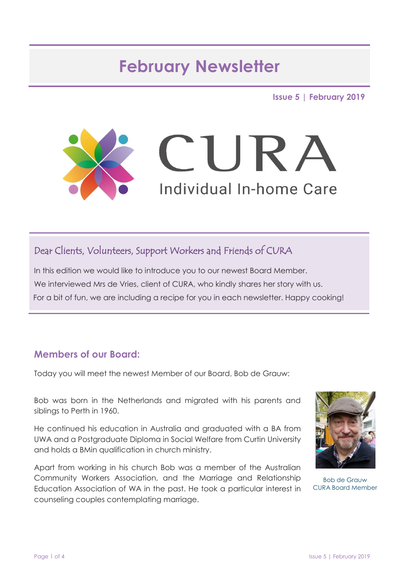# **February Newsletter**

**Issue 5 | February 2019**



### Dear Clients, Volunteers, Support Workers and Friends of CURA

In this edition we would like to introduce you to our newest Board Member. We interviewed Mrs de Vries, client of CURA, who kindly shares her story with us. For a bit of fun, we are including a recipe for you in each newsletter. Happy cooking!

#### **Members of our Board:**

Today you will meet the newest Member of our Board, Bob de Grauw:

Bob was born in the Netherlands and migrated with his parents and siblings to Perth in 1960.

He continued his education in Australia and graduated with a BA from UWA and a Postgraduate Diploma in Social Welfare from Curtin University and holds a BMin qualification in church ministry.

Apart from working in his church Bob was a member of the Australian Community Workers Association, and the Marriage and Relationship Education Association of WA in the past. He took a particular interest in counseling couples contemplating marriage.



Bob de Grauw CURA Board Member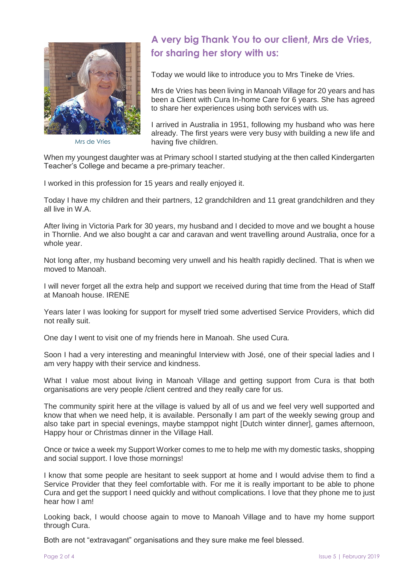

Mrs de Vries

### **A very big Thank You to our client, Mrs de Vries, for sharing her story with us:**

Today we would like to introduce you to Mrs Tineke de Vries.

Mrs de Vries has been living in Manoah Village for 20 years and has been a Client with Cura In-home Care for 6 years. She has agreed to share her experiences using both services with us.

I arrived in Australia in 1951, following my husband who was here already. The first years were very busy with building a new life and having five children.

When my youngest daughter was at Primary school I started studying at the then called Kindergarten Teacher's College and became a pre-primary teacher.

I worked in this profession for 15 years and really enjoyed it.

Today I have my children and their partners, 12 grandchildren and 11 great grandchildren and they all live in W.A.

After living in Victoria Park for 30 years, my husband and I decided to move and we bought a house in Thornlie. And we also bought a car and caravan and went travelling around Australia, once for a whole year.

Not long after, my husband becoming very unwell and his health rapidly declined. That is when we moved to Manoah.

I will never forget all the extra help and support we received during that time from the Head of Staff at Manoah house. IRENE

Years later I was looking for support for myself tried some advertised Service Providers, which did not really suit.

One day I went to visit one of my friends here in Manoah. She used Cura.

Soon I had a very interesting and meaningful Interview with José, one of their special ladies and I am very happy with their service and kindness.

What I value most about living in Manoah Village and getting support from Cura is that both organisations are very people /client centred and they really care for us.

The community spirit here at the village is valued by all of us and we feel very well supported and know that when we need help, it is available. Personally I am part of the weekly sewing group and also take part in special evenings, maybe stamppot night [Dutch winter dinner], games afternoon, Happy hour or Christmas dinner in the Village Hall.

Once or twice a week my Support Worker comes to me to help me with my domestic tasks, shopping and social support. I love those mornings!

I know that some people are hesitant to seek support at home and I would advise them to find a Service Provider that they feel comfortable with. For me it is really important to be able to phone Cura and get the support I need quickly and without complications. I love that they phone me to just hear how I am!

Looking back, I would choose again to move to Manoah Village and to have my home support through Cura.

Both are not "extravagant" organisations and they sure make me feel blessed.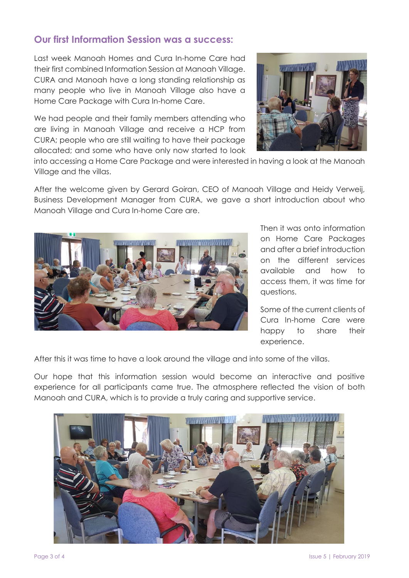#### **Our first Information Session was a success:**

Last week Manoah Homes and Cura In-home Care had their first combined Information Session at Manoah Village. CURA and Manoah have a long standing relationship as many people who live in Manoah Village also have a Home Care Package with Cura In-home Care.

We had people and their family members attending who are living in Manoah Village and receive a HCP from CURA; people who are still waiting to have their package allocated; and some who have only now started to look



into accessing a Home Care Package and were interested in having a look at the Manoah Village and the villas.

After the welcome given by Gerard Goiran, CEO of Manoah Village and Heidy Verweij, Business Development Manager from CURA, we gave a short introduction about who Manoah Village and Cura In-home Care are.



Then it was onto information on Home Care Packages and after a brief introduction on the different services available and how to access them, it was time for questions.

Some of the current clients of Cura In-home Care were happy to share their experience.

After this it was time to have a look around the village and into some of the villas.

Our hope that this information session would become an interactive and positive experience for all participants came true. The atmosphere reflected the vision of both Manoah and CURA, which is to provide a truly caring and supportive service.